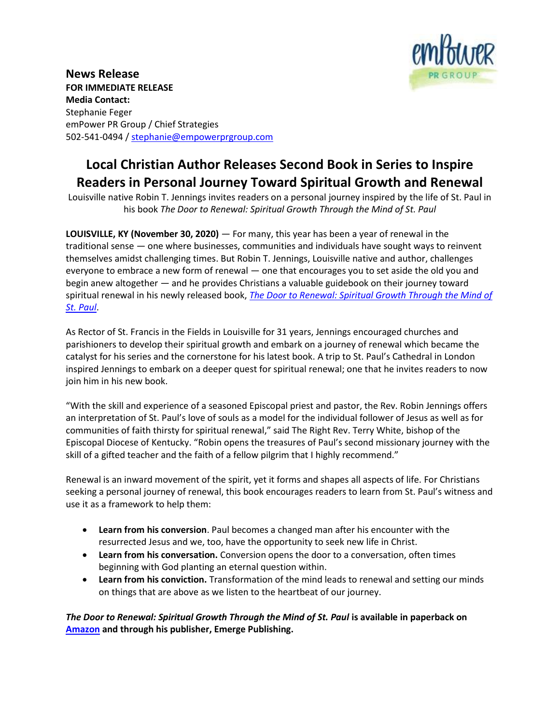

**News Release FOR IMMEDIATE RELEASE Media Contact:** Stephanie Feger emPower PR Group / Chief Strategies 502-541-0494 [/ stephanie@empowerprgroup.com](mailto:stephanie@empowerprgroup.com)

## **Local Christian Author Releases Second Book in Series to Inspire Readers in Personal Journey Toward Spiritual Growth and Renewal**

Louisville native Robin T. Jennings invites readers on a personal journey inspired by the life of St. Paul in his book *The Door to Renewal: Spiritual Growth Through the Mind of St. Paul*

**LOUISVILLE, KY (November 30, 2020)** ― For many, this year has been a year of renewal in the traditional sense — one where businesses, communities and individuals have sought ways to reinvent themselves amidst challenging times. But Robin T. Jennings, Louisville native and author, challenges everyone to embrace a new form of renewal — one that encourages you to set aside the old you and begin anew altogether — and he provides Christians a valuable guidebook on their journey toward spiritual renewal in his newly released book, *[The Door to Renewal: Spiritual Growth Through the Mind of](https://www.amazon.com/dp/1949758915)  [St. Paul](https://www.amazon.com/dp/1949758915)*.

As Rector of St. Francis in the Fields in Louisville for 31 years, Jennings encouraged churches and parishioners to develop their spiritual growth and embark on a journey of renewal which became the catalyst for his series and the cornerstone for his latest book. A trip to St. Paul's Cathedral in London inspired Jennings to embark on a deeper quest for spiritual renewal; one that he invites readers to now join him in his new book.

"With the skill and experience of a seasoned Episcopal priest and pastor, the Rev. Robin Jennings offers an interpretation of St. Paul's love of souls as a model for the individual follower of Jesus as well as for communities of faith thirsty for spiritual renewal," said The Right Rev. Terry White, bishop of the Episcopal Diocese of Kentucky. "Robin opens the treasures of Paul's second missionary journey with the skill of a gifted teacher and the faith of a fellow pilgrim that I highly recommend."

Renewal is an inward movement of the spirit, yet it forms and shapes all aspects of life. For Christians seeking a personal journey of renewal, this book encourages readers to learn from St. Paul's witness and use it as a framework to help them:

- **Learn from his conversion**. Paul becomes a changed man after his encounter with the resurrected Jesus and we, too, have the opportunity to seek new life in Christ.
- **Learn from his conversation.** Conversion opens the door to a conversation, often times beginning with God planting an eternal question within.
- **Learn from his conviction.** Transformation of the mind leads to renewal and setting our minds on things that are above as we listen to the heartbeat of our journey.

*The Door to Renewal: Spiritual Growth Through the Mind of St. Paul* **is available in paperback on [Amazon](https://www.amazon.com/dp/1949758915) and through his publisher, Emerge Publishing.**